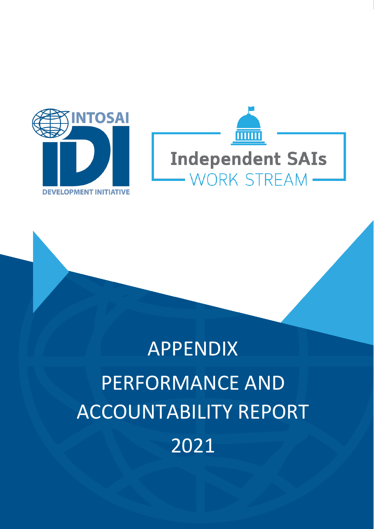



# APPENDIX PERFORMANCE AND ACCOUNTABILITY REPORT 2021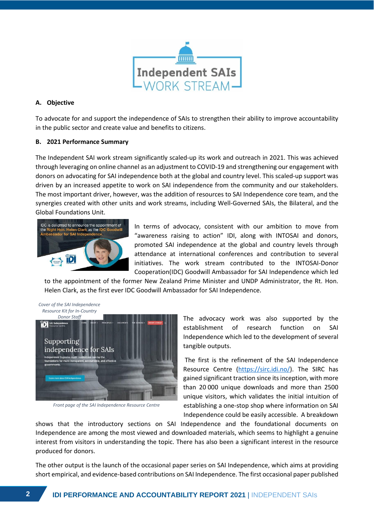

## **A. Objective**

To advocate for and support the independence of SAIs to strengthen their ability to improve accountability in the public sector and create value and benefits to citizens.

## **B. 2021 Performance Summary**

The Independent SAI work stream significantly scaled-up its work and outreach in 2021. This was achieved through leveraging on online channel as an adjustment to COVID-19 and strengthening our engagement with donors on advocating for SAI independence both at the global and country level. This scaled-up support was driven by an increased appetite to work on SAI independence from the community and our stakeholders. The most important driver, however, was the addition of resources to SAI Independence core team, and the synergies created with other units and work streams, including Well-Governed SAIs, the Bilateral, and the Global Foundations Unit.



In terms of advocacy, consistent with our ambition to move from "awareness raising to action" IDI, along with INTOSAI and donors, promoted SAI independence at the global and country levels through attendance at international conferences and contribution to several initiatives. The work stream contributed to the INTOSAI-Donor Cooperation(IDC) Goodwill Ambassador for SAI Independence which led

to the appointment of the former New Zealand Prime Minister and UNDP Administrator, the Rt. Hon. Helen Clark, as the first ever IDC Goodwill Ambassador for SAI Independence.



*Front page of the SAI Independence Resource Centre*

The advocacy work was also supported by the establishment of research function on SAI Independence which led to the development of several tangible outputs.

The first is the refinement of the SAI Independence Resource Centre [\(https://sirc.idi.no/\)](https://sirc.idi.no/). The SIRC has gained significant traction since its inception, with more than 20 000 unique downloads and more than 2500 unique visitors, which validates the initial intuition of establishing a one-stop shop where information on SAI Independence could be easily accessible. A breakdown

shows that the introductory sections on SAI Independence and the foundational documents on Independence are among the most viewed and downloaded materials, which seems to highlight a genuine interest from visitors in understanding the topic. There has also been a significant interest in the resource produced for donors.

The other output is the launch of the occasional paper series on SAI Independence, which aims at providing short empirical, and evidence-based contributions on SAI Independence. The first occasional paper published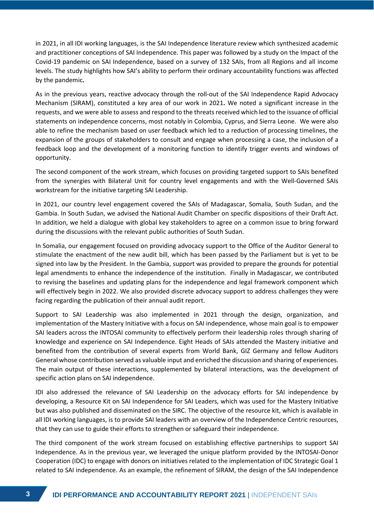in 2021, in all IDI working languages, is the SAI Independence literature review which synthesized academic and practitioner conceptions of SAI Independence. This paper was followed by a study on the Impact of the Covid-19 pandemic on SAI Independence, based on a survey of 132 SAIs, from all Regions and all income levels. The study highlights how SAI's ability to perform their ordinary accountability functions was affected by the pandemic**.** 

As in the previous years, reactive advocacy through the roll-out of the SAI Independence Rapid Advocacy Mechanism (SIRAM), constituted a key area of our work in 2021**.** We noted a significant increase in the requests, and we were able to assess and respond to the threats received which led to the issuance of official statements on independence concerns, most notably in Colombia, Cyprus, and Sierra Leone. We were also able to refine the mechanism based on user feedback which led to a reduction of processing timelines, the expansion of the groups of stakeholders to consult and engage when processing a case, the inclusion of a feedback loop and the development of a monitoring function to identify trigger events and windows of opportunity.

The second component of the work stream, which focuses on providing targeted support to SAIs benefited from the synergies with Bilateral Unit for country level engagements and with the Well-Governed SAIs workstream for the initiative targeting SAI Leadership.

In 2021, our country level engagement covered the SAIs of Madagascar, Somalia, South Sudan, and the Gambia. In South Sudan, we advised the National Audit Chamber on specific dispositions of their Draft Act. In addition, we held a dialogue with global key stakeholders to agree on a common issue to bring forward during the discussions with the relevant public authorities of South Sudan.

In Somalia, our engagement focused on providing advocacy support to the Office of the Auditor General to stimulate the enactment of the new audit bill, which has been passed by the Parliament but is yet to be signed into law by the President. In the Gambia, support was provided to prepare the grounds for potential legal amendments to enhance the independence of the institution. Finally in Madagascar, we contributed to revising the baselines and updating plans for the independence and legal framework component which will effectively begin in 2022. We also provided discrete advocacy support to address challenges they were facing regarding the publication of their annual audit report.

Support to SAI Leadership was also implemented in 2021 through the design, organization, and implementation of the Mastery Initiative with a focus on SAI independence, whose main goal is to empower SAI leaders across the INTOSAI community to effectively perform their leadership roles through sharing of knowledge and experience on SAI Independence. Eight Heads of SAIs attended the Mastery initiative and benefited from the contribution of several experts from World Bank, GIZ Germany and fellow Auditors General whose contribution served as valuable input and enriched the discussion and sharing of experiences. The main output of these interactions, supplemented by bilateral interactions, was the development of specific action plans on SAI independence.

IDI also addressed the relevance of SAI Leadership on the advocacy efforts for SAI independence by developing, a Resource Kit on SAI Independence for SAI Leaders, which was used for the Mastery Initiative but was also published and disseminated on the SIRC. The objective of the resource kit, which is available in all IDI working languages, is to provide SAI leaders with an overview of the Independence Centric resources, that they can use to guide their efforts to strengthen or safeguard their independence.

The third component of the work stream focused on establishing effective partnerships to support SAI Independence. As in the previous year, we leveraged the unique platform provided by the INTOSAI-Donor Cooperation (IDC) to engage with donors on initiatives related to the implementation of IDC Strategic Goal 1 related to SAI independence. As an example, the refinement of SIRAM, the design of the SAI Independence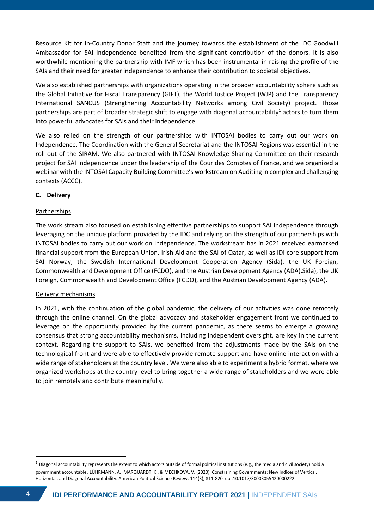Resource Kit for In-Country Donor Staff and the journey towards the establishment of the IDC Goodwill Ambassador for SAI Independence benefited from the significant contribution of the donors. It is also worthwhile mentioning the partnership with IMF which has been instrumental in raising the profile of the SAIs and their need for greater independence to enhance their contribution to societal objectives.

We also established partnerships with organizations operating in the broader accountability sphere such as the Global Initiative for Fiscal Transparency (GIFT), the World Justice Project (WJP) and the Transparency International SANCUS (Strengthening Accountability Networks among Civil Society) project. Those partnerships are part of broader strategic shift to engage with diagonal accountability<sup>1</sup> actors to turn them into powerful advocates for SAIs and their independence.

We also relied on the strength of our partnerships with INTOSAI bodies to carry out our work on Independence. The Coordination with the General Secretariat and the INTOSAI Regions was essential in the roll out of the SIRAM. We also partnered with INTOSAI Knowledge Sharing Committee on their research project for SAI Independence under the leadership of the Cour des Comptes of France, and we organized a webinar with the INTOSAI Capacity Building Committee's workstream on Auditing in complex and challenging contexts (ACCC).

## **C. Delivery**

## Partnerships

The work stream also focused on establishing effective partnerships to support SAI Independence through leveraging on the unique platform provided by the IDC and relying on the strength of our partnerships with INTOSAI bodies to carry out our work on Independence. The workstream has in 2021 received earmarked financial support from the European Union, Irish Aid and the SAI of Qatar, as well as IDI core support from SAI Norway, the Swedish International Development Cooperation Agency (Sida), the UK Foreign, Commonwealth and Development Office (FCDO), and the Austrian Development Agency (ADA).Sida), the UK Foreign, Commonwealth and Development Office (FCDO), and the Austrian Development Agency (ADA).

## Delivery mechanisms

In 2021, with the continuation of the global pandemic, the delivery of our activities was done remotely through the online channel. On the global advocacy and stakeholder engagement front we continued to leverage on the opportunity provided by the current pandemic, as there seems to emerge a growing consensus that strong accountability mechanisms, including independent oversight, are key in the current context. Regarding the support to SAIs, we benefited from the adjustments made by the SAIs on the technological front and were able to effectively provide remote support and have online interaction with a wide range of stakeholders at the country level. We were also able to experiment a hybrid format, where we organized workshops at the country level to bring together a wide range of stakeholders and we were able to join remotely and contribute meaningfully.

 $1$  Diagonal accountability represents the extent to which actors outside of formal political institutions (e.g., the media and civil society) hold a government accountable. LÜHRMANN, A., MARQUARDT, K., & MECHKOVA, V. (2020). Constraining Governments: New Indices of Vertical, Horizontal, and Diagonal Accountability. American Political Science Review, 114(3), 811-820. doi:10.1017/S0003055420000222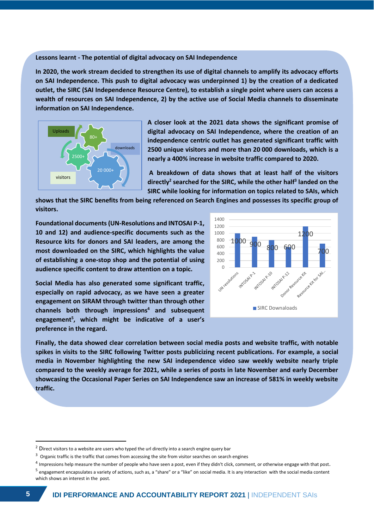#### **Lessons learnt - The potential of digital advocacy on SAI Independence**

**In 2020, the work stream decided to strengthen its use of digital channels to amplify its advocacy efforts on SAI Independence. This push to digital advocacy was underpinned 1) by the creation of a dedicated outlet, the SIRC (SAI Independence Resource Centre), to establish a single point where users can access a wealth of resources on SAI Independence, 2) by the active use of Social Media channels to disseminate information on SAI Independence.** 



**A closer look at the 2021 data shows the significant promise of digital advocacy on SAI Independence, where the creation of an independence centric outlet has generated significant traffic with 2500 unique visitors and more than 20 000 downloads, which is a nearly a 400% increase in website traffic compared to 2020.** 

**A breakdown of data shows that at least half of the visitors directly<sup>2</sup> searched for the SIRC, while the other half<sup>3</sup> landed on the SIRC while looking for information on topics related to SAIs, which** 

**shows that the SIRC benefits from being referenced on Search Engines and possesses its specific group of visitors.** 

**Foundational documents (UN-Resolutions and INTOSAI P-1, 10 and 12) and audience-specific documents such as the Resource kits for donors and SAI leaders, are among the most downloaded on the SIRC, which highlights the value of establishing a one-stop shop and the potential of using audience specific content to draw attention on a topic.**

**Social Media has also generated some significant traffic, especially on rapid advocacy, as we have seen a greater engagement on SIRAM through twitter than through other channels both through impressions<sup>4</sup> and subsequent engagement<sup>5</sup> , which might be indicative of a user's preference in the regard.** 



**Finally, the data showed clear correlation between social media posts and website traffic, with notable spikes in visits to the SIRC following Twitter posts publicizing recent publications. For example, a social media in November highlighting the new SAI independence video saw weekly website nearly triple compared to the weekly average for 2021, while a series of posts in late November and early December showcasing the Occasional Paper Series on SAI Independence saw an increase of 581% in weekly website traffic.**

 $2$  Direct visitors to a website are users who typed the url directly into a search engine query bar

<sup>&</sup>lt;sup>3</sup> Organic traffic is the traffic that comes from accessing the site from visitor searches on search engines

 $^4$  Impressions help measure the number of people who have seen a post, even if they didn't click, comment, or otherwise engage with that post.

<sup>&</sup>lt;sup>5</sup> engagement encapsulates a variety of actions, such as, a "share" or a "like" on social media. It is any interaction with the social media content which shows an interest in the post.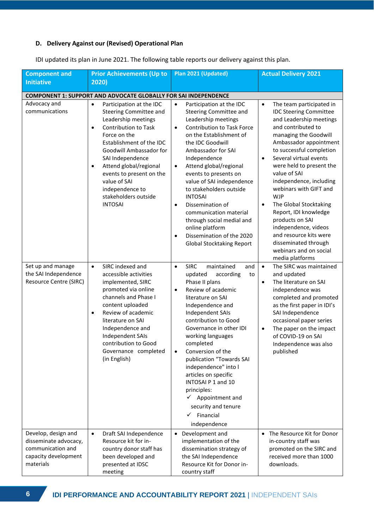## **D. Delivery Against our (Revised) Operational Plan**

| <b>Component and</b>                                                                                   | Plan 2021 (Updated)<br><b>Prior Achievements (Up to</b>                                                                                                                                                                                                                                                                                                                       |                                                                                                                                                                                                                                                                                                                                                                                                                                                                                                                                                           | <b>Actual Delivery 2021</b>                                                                                                                                                                                                                                                                                                                                                                                                                                                                                                                                            |  |  |
|--------------------------------------------------------------------------------------------------------|-------------------------------------------------------------------------------------------------------------------------------------------------------------------------------------------------------------------------------------------------------------------------------------------------------------------------------------------------------------------------------|-----------------------------------------------------------------------------------------------------------------------------------------------------------------------------------------------------------------------------------------------------------------------------------------------------------------------------------------------------------------------------------------------------------------------------------------------------------------------------------------------------------------------------------------------------------|------------------------------------------------------------------------------------------------------------------------------------------------------------------------------------------------------------------------------------------------------------------------------------------------------------------------------------------------------------------------------------------------------------------------------------------------------------------------------------------------------------------------------------------------------------------------|--|--|
| <b>Initiative</b>                                                                                      | 2020)                                                                                                                                                                                                                                                                                                                                                                         |                                                                                                                                                                                                                                                                                                                                                                                                                                                                                                                                                           |                                                                                                                                                                                                                                                                                                                                                                                                                                                                                                                                                                        |  |  |
|                                                                                                        | <b>COMPONENT 1: SUPPORT AND ADVOCATE GLOBALLY FOR SAI INDEPENDENCE</b>                                                                                                                                                                                                                                                                                                        |                                                                                                                                                                                                                                                                                                                                                                                                                                                                                                                                                           |                                                                                                                                                                                                                                                                                                                                                                                                                                                                                                                                                                        |  |  |
| Advocacy and<br>communications                                                                         | Participation at the IDC<br>$\bullet$<br>Steering Committee and<br>Leadership meetings<br><b>Contribution to Task</b><br>$\bullet$<br>Force on the<br>Establishment of the IDC<br>Goodwill Ambassador for<br>SAI Independence<br>Attend global/regional<br>$\bullet$<br>events to present on the<br>value of SAI<br>independence to<br>stakeholders outside<br><b>INTOSAI</b> | $\bullet$<br>Participation at the IDC<br>Steering Committee and<br>Leadership meetings<br>Contribution to Task Force<br>$\bullet$<br>on the Establishment of<br>the IDC Goodwill<br>Ambassador for SAI<br>Independence<br>Attend global/regional<br>$\bullet$<br>events to presents on<br>value of SAI independence<br>to stakeholders outside<br><b>INTOSAI</b><br>Dissemination of<br>$\bullet$<br>communication material<br>through social medial and<br>online platform<br>Dissemination of the 2020<br>$\bullet$<br><b>Global Stocktaking Report</b> | The team participated in<br>$\bullet$<br><b>IDC Steering Committee</b><br>and Leadership meetings<br>and contributed to<br>managing the Goodwill<br>Ambassador appointment<br>to successful completion<br>Several virtual events<br>$\bullet$<br>were held to present the<br>value of SAI<br>independence, including<br>webinars with GIFT and<br><b>WJP</b><br>The Global Stocktaking<br>$\bullet$<br>Report, IDI knowledge<br>products on SAI<br>independence, videos<br>and resource kits were<br>disseminated through<br>webinars and on social<br>media platforms |  |  |
| Set up and manage<br>the SAI Independence<br>Resource Centre (SIRC)                                    | SIRC indexed and<br>$\bullet$<br>accessible activities<br>implemented, SIRC<br>promoted via online<br>channels and Phase I<br>content uploaded<br>Review of academic<br>$\bullet$<br>literature on SAI<br>Independence and<br>Independent SAIs<br>contribution to Good<br>Governance completed<br>(in English)                                                                | <b>SIRC</b><br>$\bullet$<br>maintained<br>and<br>updated<br>according<br>to<br>Phase II plans<br>Review of academic<br>$\bullet$<br>literature on SAI<br>Independence and<br>Independent SAIs<br>contribution to Good<br>Governance in other IDI<br>working languages<br>completed<br>Conversion of the<br>$\bullet$<br>publication "Towards SAI<br>independence" into I<br>articles on specific<br>INTOSAI P 1 and 10<br>principles:<br>$\checkmark$ Appointment and<br>security and tenure<br>Financial<br>✓<br>independence                            | $\bullet$<br>The SIRC was maintained<br>and updated<br>The literature on SAI<br>$\bullet$<br>independence was<br>completed and promoted<br>as the first paper in IDI's<br>SAI Independence<br>occasional paper series<br>The paper on the impact<br>$\bullet$<br>of COVID-19 on SAI<br>Independence was also<br>published                                                                                                                                                                                                                                              |  |  |
| Develop, design and<br>disseminate advocacy,<br>communication and<br>capacity development<br>materials | $\bullet$<br>Draft SAI Independence<br>Resource kit for in-<br>country donor staff has<br>been developed and<br>presented at IDSC<br>meeting                                                                                                                                                                                                                                  | Development and<br>$\bullet$<br>implementation of the<br>dissemination strategy of<br>the SAI Independence<br>Resource Kit for Donor in-<br>country staff                                                                                                                                                                                                                                                                                                                                                                                                 | The Resource Kit for Donor<br>$\bullet$<br>in-country staff was<br>promoted on the SIRC and<br>received more than 1000<br>downloads.                                                                                                                                                                                                                                                                                                                                                                                                                                   |  |  |

IDI updated its plan in June 2021. The following table reports our delivery against this plan.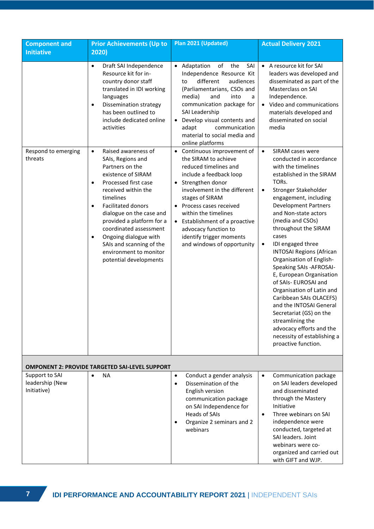| <b>Component and</b><br><b>Initiative</b>        | <b>Prior Achievements (Up to</b><br>2020)                                                                                                                                                                                                                                                                                                                         | Plan 2021 (Updated)                                                                                                                                                                                                                                                                                                                                                             | <b>Actual Delivery 2021</b>                                                                                                                                                                                                                                                                                                                                                                                                                                                                                                                                                                                                            |  |  |
|--------------------------------------------------|-------------------------------------------------------------------------------------------------------------------------------------------------------------------------------------------------------------------------------------------------------------------------------------------------------------------------------------------------------------------|---------------------------------------------------------------------------------------------------------------------------------------------------------------------------------------------------------------------------------------------------------------------------------------------------------------------------------------------------------------------------------|----------------------------------------------------------------------------------------------------------------------------------------------------------------------------------------------------------------------------------------------------------------------------------------------------------------------------------------------------------------------------------------------------------------------------------------------------------------------------------------------------------------------------------------------------------------------------------------------------------------------------------------|--|--|
| Respond to emerging<br>threats                   | Draft SAI Independence<br>$\bullet$<br>Resource kit for in-<br>country donor staff<br>translated in IDI working<br>languages<br><b>Dissemination strategy</b><br>$\bullet$<br>has been outlined to<br>include dedicated online<br>activities<br>Raised awareness of<br>$\bullet$<br>SAIs, Regions and                                                             | • Adaptation<br>of<br>the<br>SAI<br>Independence Resource Kit<br>different<br>audiences<br>to<br>(Parliamentarians, CSOs and<br>and<br>media)<br>into<br>a<br>communication package for<br>SAI Leadership<br>• Develop visual contents and<br>communication<br>adapt<br>material to social media and<br>online platforms<br>• Continuous improvement of<br>the SIRAM to achieve | • A resource kit for SAI<br>leaders was developed and<br>disseminated as part of the<br>Masterclass on SAI<br>Independence.<br>• Video and communications<br>materials developed and<br>disseminated on social<br>media<br>SIRAM cases were<br>$\bullet$<br>conducted in accordance                                                                                                                                                                                                                                                                                                                                                    |  |  |
|                                                  | Partners on the<br>existence of SIRAM<br>Processed first case<br>$\bullet$<br>received within the<br>timelines<br><b>Facilitated donors</b><br>$\bullet$<br>dialogue on the case and<br>provided a platform for a<br>coordinated assessment<br>Ongoing dialogue with<br>$\bullet$<br>SAIs and scanning of the<br>environment to monitor<br>potential developments | reduced timelines and<br>include a feedback loop<br>• Strengthen donor<br>involvement in the different<br>stages of SIRAM<br>• Process cases received<br>within the timelines<br>• Establishment of a proactive<br>advocacy function to<br>identify trigger moments<br>and windows of opportunity                                                                               | with the timelines<br>established in the SIRAM<br>TORs.<br>Stronger Stakeholder<br>$\bullet$<br>engagement, including<br><b>Development Partners</b><br>and Non-state actors<br>(media and CSOs)<br>throughout the SIRAM<br>cases<br>IDI engaged three<br>$\bullet$<br><b>INTOSAI Regions (African</b><br>Organisation of English-<br>Speaking SAIs - AFROSAI-<br>E, European Organisation<br>of SAIs- EUROSAI and<br>Organisation of Latin and<br>Caribbean SAIs OLACEFS)<br>and the INTOSAI General<br>Secretariat (GS) on the<br>streamlining the<br>advocacy efforts and the<br>necessity of establishing a<br>proactive function. |  |  |
|                                                  | <b>OMPONENT 2: PROVIDE TARGETED SAI-LEVEL SUPPORT</b>                                                                                                                                                                                                                                                                                                             |                                                                                                                                                                                                                                                                                                                                                                                 |                                                                                                                                                                                                                                                                                                                                                                                                                                                                                                                                                                                                                                        |  |  |
| Support to SAI<br>leadership (New<br>Initiative) | <b>NA</b><br>$\bullet$                                                                                                                                                                                                                                                                                                                                            | Conduct a gender analysis<br>$\bullet$<br>Dissemination of the<br>$\bullet$<br>English version<br>communication package<br>on SAI Independence for<br><b>Heads of SAIs</b><br>Organize 2 seminars and 2<br>webinars                                                                                                                                                             | Communication package<br>$\bullet$<br>on SAI leaders developed<br>and disseminated<br>through the Mastery<br>Initiative<br>Three webinars on SAI<br>$\bullet$<br>independence were<br>conducted, targeted at<br>SAI leaders. Joint<br>webinars were co-<br>organized and carried out<br>with GIFT and WJP.                                                                                                                                                                                                                                                                                                                             |  |  |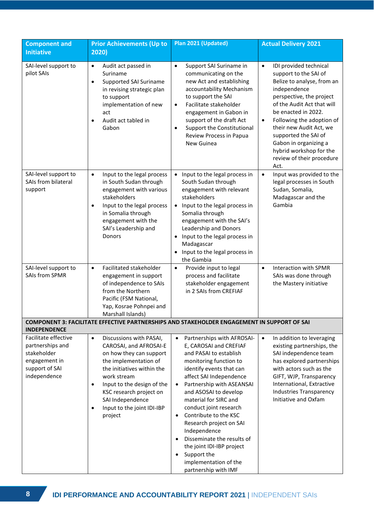| <b>Component and</b><br><b>Initiative</b>                                                                  | <b>Prior Achievements (Up to</b><br>2020)                                                                                                                                                                                                                                                                       | Plan 2021 (Updated)                                                                                                                                                                                                                                                                                                                                                                                                                                                                                            | <b>Actual Delivery 2021</b>                                                                                                                                                                                                                                                                                                                                                       |  |  |
|------------------------------------------------------------------------------------------------------------|-----------------------------------------------------------------------------------------------------------------------------------------------------------------------------------------------------------------------------------------------------------------------------------------------------------------|----------------------------------------------------------------------------------------------------------------------------------------------------------------------------------------------------------------------------------------------------------------------------------------------------------------------------------------------------------------------------------------------------------------------------------------------------------------------------------------------------------------|-----------------------------------------------------------------------------------------------------------------------------------------------------------------------------------------------------------------------------------------------------------------------------------------------------------------------------------------------------------------------------------|--|--|
| SAI-level support to<br>pilot SAIs                                                                         | $\bullet$<br>Audit act passed in<br>Suriname<br>Supported SAI Suriname<br>$\bullet$<br>in revising strategic plan<br>to support<br>implementation of new<br>act<br>Audit act tabled in<br>$\bullet$<br>Gabon                                                                                                    | $\bullet$<br>Support SAI Suriname in<br>communicating on the<br>new Act and establishing<br>accountability Mechanism<br>to support the SAI<br>Facilitate stakeholder<br>$\bullet$<br>engagement in Gabon in<br>support of the draft Act<br>Support the Constitutional<br>$\bullet$<br>Review Process in Papua<br>New Guinea                                                                                                                                                                                    | IDI provided technical<br>$\bullet$<br>support to the SAI of<br>Belize to analyse, from an<br>independence<br>perspective, the project<br>of the Audit Act that will<br>be enacted in 2022.<br>Following the adoption of<br>$\bullet$<br>their new Audit Act, we<br>supported the SAI of<br>Gabon in organizing a<br>hybrid workshop for the<br>review of their procedure<br>Act. |  |  |
| SAI-level support to<br>SAIs from bilateral<br>support                                                     | Input to the legal process<br>$\bullet$<br>in South Sudan through<br>engagement with various<br>stakeholders<br>Input to the legal process<br>$\bullet$<br>in Somalia through<br>engagement with the<br>SAI's Leadership and<br>Donors                                                                          | • Input to the legal process in<br>South Sudan through<br>engagement with relevant<br>stakeholders<br>• Input to the legal process in<br>Somalia through<br>engagement with the SAI's<br>Leadership and Donors<br>• Input to the legal process in<br>Madagascar<br>• Input to the legal process in<br>the Gambia                                                                                                                                                                                               | Input was provided to the<br>$\bullet$<br>legal processes in South<br>Sudan, Somalia,<br>Madagascar and the<br>Gambia                                                                                                                                                                                                                                                             |  |  |
| SAI-level support to<br><b>SAIs from SPMR</b>                                                              | Facilitated stakeholder<br>$\bullet$<br>engagement in support<br>of independence to SAIs<br>from the Northern<br>Pacific (FSM National,<br>Yap, Kosrae Pohnpei and<br>Marshall Islands)                                                                                                                         | Provide input to legal<br>$\bullet$<br>process and facilitate<br>stakeholder engagement<br>in 2 SAIs from CREFIAF                                                                                                                                                                                                                                                                                                                                                                                              | Interaction with SPMR<br>$\bullet$<br>SAIs was done through<br>the Mastery initiative                                                                                                                                                                                                                                                                                             |  |  |
| <b>INDEPENDENCE</b>                                                                                        |                                                                                                                                                                                                                                                                                                                 | <b>COMPONENT 3: FACILITATE EFFECTIVE PARTNERSHIPS AND STAKEHOLDER ENGAGEMENT IN SUPPORT OF SAI</b>                                                                                                                                                                                                                                                                                                                                                                                                             |                                                                                                                                                                                                                                                                                                                                                                                   |  |  |
| Facilitate effective<br>partnerships and<br>stakeholder<br>engagement in<br>support of SAI<br>independence | Discussions with PASAI,<br>$\bullet$<br>CAROSAI, and AFROSAI-E<br>on how they can support<br>the implementation of<br>the initiatives within the<br>work stream<br>Input to the design of the<br>$\bullet$<br>KSC research project on<br>SAI Independence<br>Input to the joint IDI-IBP<br>$\bullet$<br>project | Partnerships with AFROSAI-<br>$\bullet$<br>E, CAROSAI and CREFIAF<br>and PASAI to establish<br>monitoring function to<br>identify events that can<br>affect SAI Independence<br>Partnership with ASEANSAI<br>$\bullet$<br>and ASOSAI to develop<br>material for SIRC and<br>conduct joint research<br>Contribute to the KSC<br>$\bullet$<br>Research project on SAI<br>Independence<br>Disseminate the results of<br>the joint IDI-IBP project<br>Support the<br>implementation of the<br>partnership with IMF | In addition to leveraging<br>$\bullet$<br>existing partnerships, the<br>SAI independence team<br>has explored partnerships<br>with actors such as the<br>GIFT, WJP, Transparency<br>International, Extractive<br><b>Industries Transparency</b><br>Initiative and Oxfam                                                                                                           |  |  |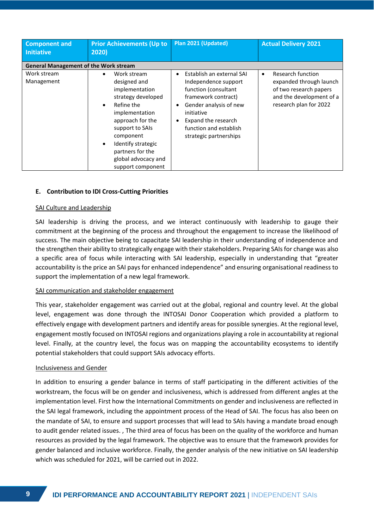| <b>Component and</b><br><b>Initiative</b>    | <b>Prior Achievements (Up to</b><br>2020)                                                                                                                                                                                                                               | Plan 2021 (Updated)                                                                                                                                                                                                 | <b>Actual Delivery 2021</b>                                                                                                               |  |
|----------------------------------------------|-------------------------------------------------------------------------------------------------------------------------------------------------------------------------------------------------------------------------------------------------------------------------|---------------------------------------------------------------------------------------------------------------------------------------------------------------------------------------------------------------------|-------------------------------------------------------------------------------------------------------------------------------------------|--|
| <b>General Management of the Work stream</b> |                                                                                                                                                                                                                                                                         |                                                                                                                                                                                                                     |                                                                                                                                           |  |
| Work stream<br>Management                    | Work stream<br>designed and<br>implementation<br>strategy developed<br>Refine the<br>$\bullet$<br>implementation<br>approach for the<br>support to SAIs<br>component<br>Identify strategic<br>$\bullet$<br>partners for the<br>global advocacy and<br>support component | Establish an external SAI<br>Independence support<br>function (consultant<br>framework contract)<br>Gender analysis of new<br>initiative<br>Expand the research<br>function and establish<br>strategic partnerships | Research function<br>$\bullet$<br>expanded through launch<br>of two research papers<br>and the development of a<br>research plan for 2022 |  |

#### **E. Contribution to IDI Cross-Cutting Priorities**

#### SAI Culture and Leadership

SAI leadership is driving the process, and we interact continuously with leadership to gauge their commitment at the beginning of the process and throughout the engagement to increase the likelihood of success. The main objective being to capacitate SAI leadership in their understanding of independence and the strengthen their ability to strategically engage with their stakeholders. Preparing SAIs for change was also a specific area of focus while interacting with SAI leadership, especially in understanding that "greater accountability is the price an SAI pays for enhanced independence" and ensuring organisational readiness to support the implementation of a new legal framework.

#### SAI communication and stakeholder engagement

This year, stakeholder engagement was carried out at the global, regional and country level. At the global level, engagement was done through the INTOSAI Donor Cooperation which provided a platform to effectively engage with development partners and identify areas for possible synergies. At the regional level, engagement mostly focused on INTOSAI regions and organizations playing a role in accountability at regional level. Finally, at the country level, the focus was on mapping the accountability ecosystems to identify potential stakeholders that could support SAIs advocacy efforts.

#### Inclusiveness and Gender

In addition to ensuring a gender balance in terms of staff participating in the different activities of the workstream, the focus will be on gender and inclusiveness, which is addressed from different angles at the implementation level. First how the International Commitments on gender and inclusiveness are reflected in the SAI legal framework, including the appointment process of the Head of SAI. The focus has also been on the mandate of SAI, to ensure and support processes that will lead to SAIs having a mandate broad enough to audit gender related issues. , The third area of focus has been on the quality of the workforce and human resources as provided by the legal framework. The objective was to ensure that the framework provides for gender balanced and inclusive workforce. Finally, the gender analysis of the new initiative on SAI leadership which was scheduled for 2021, will be carried out in 2022.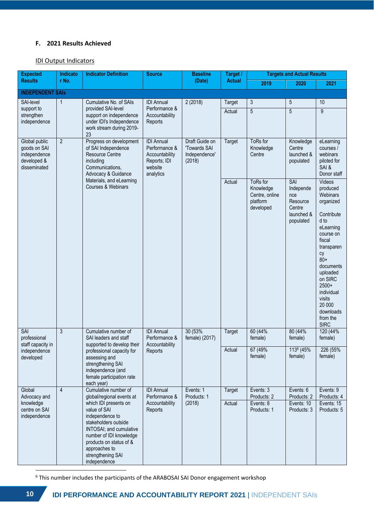## **F. 2021 Results Achieved**

## IDI Output Indicators

| <b>Expected</b>                                             | Indicato                                                                                                         | <b>Indicator Definition</b>                                                                                                                                                                                                                                                       | <b>Source</b>                                                                                | <b>Baseline</b><br>(Date)                                 | Target /<br><b>Actual</b> | <b>Targets and Actual Results</b>                                |                                                                          |                                                                                                                                                                                                                                                             |
|-------------------------------------------------------------|------------------------------------------------------------------------------------------------------------------|-----------------------------------------------------------------------------------------------------------------------------------------------------------------------------------------------------------------------------------------------------------------------------------|----------------------------------------------------------------------------------------------|-----------------------------------------------------------|---------------------------|------------------------------------------------------------------|--------------------------------------------------------------------------|-------------------------------------------------------------------------------------------------------------------------------------------------------------------------------------------------------------------------------------------------------------|
| <b>Results</b>                                              | r No.                                                                                                            |                                                                                                                                                                                                                                                                                   |                                                                                              |                                                           |                           | 2019                                                             | 2020                                                                     | 2021                                                                                                                                                                                                                                                        |
| <b>INDEPENDENT SAIS</b>                                     |                                                                                                                  |                                                                                                                                                                                                                                                                                   |                                                                                              |                                                           |                           |                                                                  |                                                                          |                                                                                                                                                                                                                                                             |
| SAI-level                                                   | 1                                                                                                                | Cumulative No. of SAIs                                                                                                                                                                                                                                                            | <b>IDI</b> Annual                                                                            | 2(2018)                                                   | Target                    | 3                                                                | $5\,$                                                                    | 10                                                                                                                                                                                                                                                          |
| support to<br>strengthen<br>independence                    |                                                                                                                  | provided SAI-level<br>support on independence<br>under IDI's Independence<br>work stream during 2019-<br>23                                                                                                                                                                       | Performance &<br>Accountability<br>Reports                                                   |                                                           | Actual                    | 5                                                                | 5                                                                        | 9                                                                                                                                                                                                                                                           |
| goods on SAI<br>independence<br>developed &<br>disseminated | $\overline{2}$<br>Global public<br>of SAI Independence<br><b>Resource Centre</b><br>including<br>Communications, | Progress on development<br>Advocacy & Guidance                                                                                                                                                                                                                                    | <b>IDI</b> Annual<br>Performance &<br>Accountability<br>Reports; IDI<br>website<br>analytics | Draft Guide on<br>'Towards SAI<br>Independence'<br>(2018) | Target                    | ToRs for<br>Knowledge<br>Centre                                  | Knowledge<br>Centre<br>launched &<br>populated                           | eLearning<br>courses /<br>webinars<br>piloted for<br>SAI &<br>Donor staff                                                                                                                                                                                   |
|                                                             |                                                                                                                  | Materials, and eLearning<br>Courses & Webinars                                                                                                                                                                                                                                    |                                                                                              |                                                           | Actual                    | ToRs for<br>Knowledge<br>Centre, online<br>platform<br>developed | SAI<br>Independe<br>nce<br>Resource<br>Centre<br>launched &<br>populated | Videos<br>produced<br>Webinars<br>organized<br>Contribute<br>d to<br>eLearning<br>course on<br>fiscal<br>transparen<br>cy<br>$80+$<br>documents<br>uploaded<br>on SIRC<br>$2500+$<br>individual<br>visits<br>20 000<br>downloads<br>from the<br><b>SIRC</b> |
| <b>SAI</b><br>professional<br>staff capacity in             | 3                                                                                                                | Cumulative number of<br><b>IDI</b> Annual<br>Performance &<br>SAI leaders and staff<br>supported to develop their<br>Accountability<br>Reports<br>professional capacity for<br>assessing and<br>strengthening SAI<br>independence (and<br>female participation rate<br>each year) |                                                                                              | 30 (53%)<br>female) (2017)                                | Target                    | 60 (44%<br>female)                                               | 80 (44%<br>female)                                                       | 120 (44%<br>female)                                                                                                                                                                                                                                         |
| independence<br>developed                                   |                                                                                                                  |                                                                                                                                                                                                                                                                                   |                                                                                              |                                                           |                           | Actual                                                           | 67 (49%<br>female)                                                       | 1136 (45%<br>female)                                                                                                                                                                                                                                        |
| Global                                                      | $\overline{4}$                                                                                                   | Cumulative number of                                                                                                                                                                                                                                                              | <b>IDI</b> Annual                                                                            | Events: 1                                                 | Target                    | Events: 3                                                        | Events: 6                                                                | Events: 9                                                                                                                                                                                                                                                   |
| Advocacy and<br>knowledge<br>centre on SAI<br>independence  |                                                                                                                  | global/regional events at<br>which IDI presents on<br>value of SAI<br>independence to<br>stakeholders outside<br>INTOSAI; and cumulative<br>number of IDI knowledge<br>products on status of &<br>approaches to<br>strengthening SAI<br>independence                              | Performance &<br>Accountability<br>Reports                                                   | Products: 1<br>(2018)                                     | Actual                    | Products: 2<br>Events: 8<br>Products: 1                          | Products: 2<br>Events: 10<br>Products: 3                                 | Products: 4<br>Events: 15<br>Products: 5                                                                                                                                                                                                                    |

 $6$  This number includes the participants of the ARABOSAI SAI Donor engagement workshop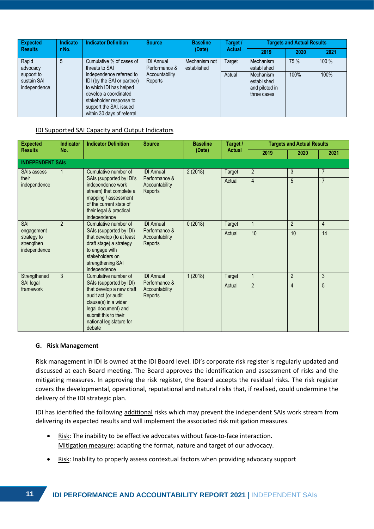| Expected                                  | <b>Indicator Definition</b><br>Indicato<br><b>Source</b><br><b>Results</b><br>r No.<br>(Date) |                                                                                                                                                                                                 |                                    | <b>Baseline</b>              | Target / | <b>Targets and Actual Results</b>                         |      |       |
|-------------------------------------------|-----------------------------------------------------------------------------------------------|-------------------------------------------------------------------------------------------------------------------------------------------------------------------------------------------------|------------------------------------|------------------------------|----------|-----------------------------------------------------------|------|-------|
|                                           |                                                                                               |                                                                                                                                                                                                 | <b>Actual</b>                      | 2019                         | 2020     | 2021                                                      |      |       |
| Rapid<br>advocacy                         | 5                                                                                             | Cumulative % of cases of<br>threats to SAI                                                                                                                                                      | <b>IDI</b> Annual<br>Performance & | Mechanism not<br>established | Target   | Mechanism<br>established                                  | 75 % | 100 % |
| support to<br>sustain SAI<br>independence |                                                                                               | independence referred to<br>IDI (by the SAI or partner)<br>to which IDI has helped<br>develop a coordinated<br>stakeholder response to<br>support the SAI, issued<br>within 30 days of referral | Accountability<br>Reports          |                              | Actual   | Mechanism<br>established<br>and piloted in<br>three cases | 100% | 100%  |

## IDI Supported SAI Capacity and Output Indicators

| <b>Expected</b>                                                 | Indicator                                                   | <b>Indicator Definition</b>                                                                                                                                                             | <b>Source</b><br><b>Baseline</b><br>(Date) |                | Target /     |                | <b>Targets and Actual Results</b> |                |  |
|-----------------------------------------------------------------|-------------------------------------------------------------|-----------------------------------------------------------------------------------------------------------------------------------------------------------------------------------------|--------------------------------------------|----------------|--------------|----------------|-----------------------------------|----------------|--|
| <b>Results</b>                                                  | No.                                                         |                                                                                                                                                                                         |                                            | <b>Actual</b>  | 2019         | 2020           | 2021                              |                |  |
|                                                                 | <b>INDEPENDENT SAIS</b>                                     |                                                                                                                                                                                         |                                            |                |              |                |                                   |                |  |
| Cumulative number of<br><b>IDI</b> Annual<br><b>SAIs assess</b> |                                                             | 2(2018)                                                                                                                                                                                 | Target                                     | $\overline{2}$ | 3            | $\overline{7}$ |                                   |                |  |
| their<br>independence                                           |                                                             | SAIs (supported by IDI's<br>independence work<br>stream) that complete a<br>mapping / assessment<br>of the current state of<br>their legal & practical<br>independence                  | Performance &<br>Accountability<br>Reports |                | Actual       | $\overline{4}$ | 5                                 | $\overline{7}$ |  |
| <b>SAI</b>                                                      | $\mathfrak{p}$<br>Cumulative number of<br><b>IDI</b> Annual |                                                                                                                                                                                         | 0(2018)                                    | <b>Target</b>  | $\mathbf{1}$ | $\overline{2}$ | $\overline{4}$                    |                |  |
| engagement<br>strategy to<br>strengthen<br>independence         |                                                             | SAIs (supported by IDI)<br>that develop (to at least<br>draft stage) a strategy<br>to engage with<br>stakeholders on<br>strengthening SAI<br>independence                               | Performance &<br>Accountability<br>Reports |                | Actual       | 10             | 10                                | 14             |  |
| Strengthened                                                    | 3                                                           | Cumulative number of                                                                                                                                                                    | <b>IDI</b> Annual                          | 1(2018)        | Target       | $\mathbf{1}$   | $\overline{2}$                    | 3              |  |
| SAI legal<br>framework                                          |                                                             | SAIs (supported by IDI)<br>that develop a new draft<br>audit act (or audit<br>clause(s) in a wider<br>legal document) and<br>submit this to their<br>national legislature for<br>debate | Performance &<br>Accountability<br>Reports |                | Actual       | $\overline{2}$ | $\overline{4}$                    | 5              |  |

#### **G. Risk Management**

Risk management in IDI is owned at the IDI Board level. IDI's corporate risk register is regularly updated and discussed at each Board meeting. The Board approves the identification and assessment of risks and the mitigating measures. In approving the risk register, the Board accepts the residual risks. The risk register covers the developmental, operational, reputational and natural risks that, if realised, could undermine the delivery of the IDI strategic plan.

IDI has identified the following additional risks which may prevent the independent SAIs work stream from delivering its expected results and will implement the associated risk mitigation measures.

- Risk: The inability to be effective advocates without face-to-face interaction. Mitigation measure: adapting the format, nature and target of our advocacy.
- Risk: Inability to properly assess contextual factors when providing advocacy support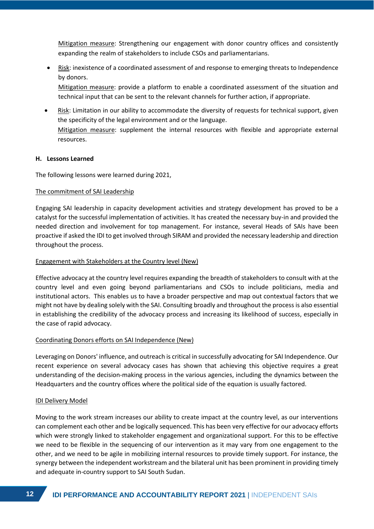Mitigation measure: Strengthening our engagement with donor country offices and consistently expanding the realm of stakeholders to include CSOs and parliamentarians.

• Risk: inexistence of a coordinated assessment of and response to emerging threats to Independence by donors.

Mitigation measure: provide a platform to enable a coordinated assessment of the situation and technical input that can be sent to the relevant channels for further action, if appropriate.

• Risk: Limitation in our ability to accommodate the diversity of requests for technical support, given the specificity of the legal environment and or the language. Mitigation measure: supplement the internal resources with flexible and appropriate external resources.

## **H. Lessons Learned**

The following lessons were learned during 2021,

#### The commitment of SAI Leadership

Engaging SAI leadership in capacity development activities and strategy development has proved to be a catalyst for the successful implementation of activities. It has created the necessary buy-in and provided the needed direction and involvement for top management. For instance, several Heads of SAIs have been proactive if asked the IDI to get involved through SIRAM and provided the necessary leadership and direction throughout the process.

#### Engagement with Stakeholders at the Country level (New)

Effective advocacy at the country level requires expanding the breadth of stakeholders to consult with at the country level and even going beyond parliamentarians and CSOs to include politicians, media and institutional actors. This enables us to have a broader perspective and map out contextual factors that we might not have by dealing solely with the SAI. Consulting broadly and throughout the process is also essential in establishing the credibility of the advocacy process and increasing its likelihood of success, especially in the case of rapid advocacy.

## Coordinating Donors efforts on SAI Independence (New)

Leveraging on Donors' influence, and outreach is critical in successfully advocating for SAI Independence. Our recent experience on several advocacy cases has shown that achieving this objective requires a great understanding of the decision-making process in the various agencies, including the dynamics between the Headquarters and the country offices where the political side of the equation is usually factored.

#### IDI Delivery Model

Moving to the work stream increases our ability to create impact at the country level, as our interventions can complement each other and be logically sequenced. This has been very effective for our advocacy efforts which were strongly linked to stakeholder engagement and organizational support. For this to be effective we need to be flexible in the sequencing of our intervention as it may vary from one engagement to the other, and we need to be agile in mobilizing internal resources to provide timely support. For instance, the synergy between the independent workstream and the bilateral unit has been prominent in providing timely and adequate in-country support to SAI South Sudan.